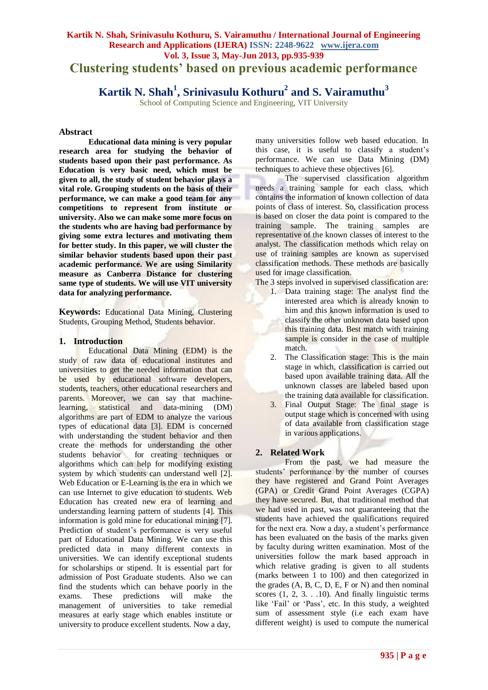# **Kartik N. Shah, Srinivasulu Kothuru, S. Vairamuthu / International Journal of Engineering Research and Applications (IJERA) ISSN: 2248-9622 www.ijera.com Vol. 3, Issue 3, May-Jun 2013, pp.935-939 Clustering students' based on previous academic performance**

# **Kartik N. Shah<sup>1</sup> , Srinivasulu Kothuru<sup>2</sup> and S. Vairamuthu<sup>3</sup>**

School of Computing Science and Engineering, VIT University

#### **Abstract**

**Educational data mining is very popular research area for studying the behavior of students based upon their past performance. As Education is very basic need, which must be given to all, the study of student behavior plays a vital role. Grouping students on the basis of their performance, we can make a good team for any competitions to represent from institute or university. Also we can make some more focus on the students who are having bad performance by giving some extra lectures and motivating them for better study. In this paper, we will cluster the similar behavior students based upon their past academic performance. We are using Similarity measure as Canberra Distance for clustering same type of students. We will use VIT university data for analyzing performance.**

**Keywords:** Educational Data Mining, Clustering Students, Grouping Method, Students behavior.

# **1. Introduction**

Educational Data Mining (EDM) is the study of raw data of educational institutes and universities to get the needed information that can be used by educational software developers, students, teachers, other educational researchers and parents. Moreover, we can say that machinelearning, statistical and data-mining (DM) algorithms are part of EDM to analyze the various types of educational data [3]. EDM is concerned with understanding the student behavior and then create the methods for understanding the other students behavior for creating techniques or algorithms which can help for modifying existing system by which students can understand well [2]. Web Education or E-Learning is the era in which we can use Internet to give education to students. Web Education has created new era of learning and understanding learning pattern of students [4]. This information is gold mine for educational mining [7]. Prediction of student"s performance is very useful part of Educational Data Mining. We can use this predicted data in many different contexts in universities. We can identify exceptional students for scholarships or stipend. It is essential part for admission of Post Graduate students. Also we can find the students which can behave poorly in the exams. These predictions will make the management of universities to take remedial measures at early stage which enables institute or university to produce excellent students. Now a day,

many universities follow web based education. In this case, it is useful to classify a student"s performance. We can use Data Mining (DM) techniques to achieve these objectives [6].

The supervised classification algorithm needs a training sample for each class, which contains the information of known collection of data points of class of interest. So, classification process is based on closer the data point is compared to the training sample. The training samples are representative of the known classes of interest to the analyst. The classification methods which relay on use of training samples are known as supervised classification methods. These methods are basically used for image classification.

The 3 steps involved in supervised classification are:

- 1. Data training stage: The analyst find the interested area which is already known to him and this known information is used to classify the other unknown data based upon this training data. Best match with training sample is consider in the case of multiple match.
- 2. The Classification stage: This is the main stage in which, classification is carried out based upon available training data. All the unknown classes are labeled based upon the training data available for classification.
- 3. Final Output Stage: The final stage is output stage which is concerned with using of data available from classification stage in various applications.

# **2. Related Work**

From the past, we had measure the students' performance by the number of courses they have registered and Grand Point Averages (GPA) or Credit Grand Point Averages (CGPA) they have secured. But, that traditional method that we had used in past, was not guaranteeing that the students have achieved the qualifications required for the next era. Now a day, a student"s performance has been evaluated on the basis of the marks given by faculty during written examination. Most of the universities follow the mark based approach in which relative grading is given to all students (marks between 1 to 100) and then categorized in the grades (A, B, C, D, E, F or N) and then nominal scores (1, 2, 3. . .10). And finally linguistic terms like 'Fail' or 'Pass', etc. In this study, a weighted sum of assessment style (i.e each exam have different weight) is used to compute the numerical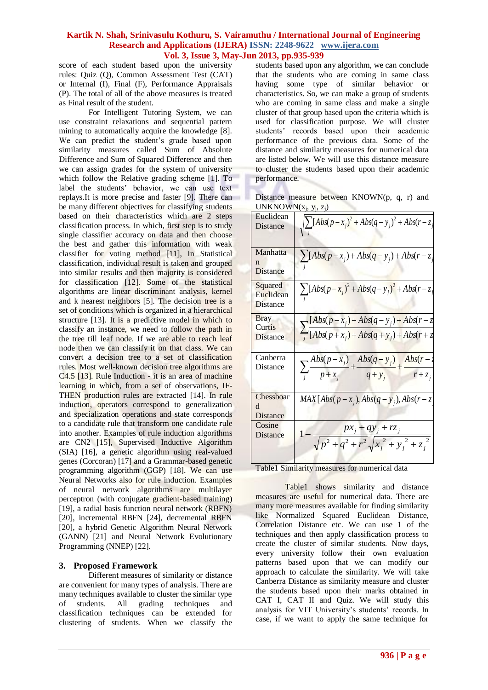score of each student based upon the university rules: Quiz (Q), Common Assessment Test (CAT) or Internal (I), Final (F), Performance Appraisals (P). The total of all of the above measures is treated as Final result of the student.

For Intelligent Tutoring System, we can use constraint relaxations and sequential pattern mining to automatically acquire the knowledge [8]. We can predict the student's grade based upon similarity measures called Sum of Absolute Difference and Sum of Squared Difference and then we can assign grades for the system of university which follow the Relative grading scheme [1]. To label the students' behavior, we can use text replays.It is more precise and faster [9]. There can be many different objectives for classifying students based on their characteristics which are 2 steps classification process. In which, first step is to study single classifier accuracy on data and then choose the best and gather this information with weak classifier for voting method [11], In Statistical classification, individual result is taken and grouped into similar results and then majority is considered for classification [12]. Some of the statistical algorithms are linear discriminant analysis, kernel and k nearest neighbors [5]. The decision tree is a set of conditions which is organized in a hierarchical structure [13]. It is a predictive model in which to classify an instance, we need to follow the path in the tree till leaf node. If we are able to reach leaf node then we can classify it on that class. We can convert a decision tree to a set of classification rules. Most well-known decision tree algorithms are C4.5 [13]. Rule Induction - it is an area of machine learning in which, from a set of observations, IF-THEN production rules are extracted [14]. In rule induction, operators correspond to generalization and specialization operations and state corresponds to a candidate rule that transform one candidate rule into another. Examples of rule induction algorithms are CN2 [15], Supervised Inductive Algorithm (SIA) [16], a genetic algorithm using real-valued genes (Corcoran) [17] and a Grammar-based genetic programming algorithm (GGP) [18]. We can use Neural Networks also for rule induction. Examples of neural network algorithms are multilayer perceptron (with conjugate gradient-based training) [19], a radial basis function neural network (RBFN) [20], incremental RBFN [24], decremental RBFN [20], a hybrid Genetic Algorithm Neural Network (GANN) [21] and Neural Network Evolutionary Programming (NNEP) [22].

# **3. Proposed Framework**

Different measures of similarity or distance are convenient for many types of analysis. There are many techniques available to cluster the similar type of students. All grading techniques and classification techniques can be extended for clustering of students. When we classify the students based upon any algorithm, we can conclude that the students who are coming in same class having some type of similar behavior or characteristics. So, we can make a group of students who are coming in same class and make a single cluster of that group based upon the criteria which is used for classification purpose. We will cluster students" records based upon their academic performance of the previous data. Some of the distance and similarity measures for numerical data are listed below. We will use this distance measure to cluster the students based upon their academic performance.

Distance measure between KNOWN(p, q, r) and  $UNKNOWN(x<sub>j</sub>, y<sub>j</sub>, z<sub>j</sub>)$ 

| Euclidean                                |                                                                                                              |
|------------------------------------------|--------------------------------------------------------------------------------------------------------------|
| <b>Distance</b>                          | $\sqrt{\sum [Abs(p-x_j)^2 + Abs(q-y_j)^2 + Abs(r-z_j)^2}$                                                    |
| Manhatta<br>n<br>Distance                | $\sum [Abs(p-x_i)+Abs(q-y_i)+Abs(r-z_i)]$                                                                    |
| Squared<br>Euclidean<br>Distance         | $\sum [Abs(p-x_j)^2 + Abs(q-y_j)^2 + Abs(r-z_j)]$                                                            |
| <b>Bray</b><br>Curtis<br><b>Distance</b> | $\sum_{j} \frac{[Abs(p - x_j) + Abs(q - y_j) + Abs(r - z_j)]}{[Abs(p + x_j) + Abs(q + y_j) + Abs(r + z_j)]}$ |
| Canberra<br>Distance                     | $\sum_{j} \frac{Abs(p-x_j)}{p+x_j} + \frac{Abs(q-y_j)}{q+y_j} + \frac{Abs(r-1)}{r+z_j}$                      |
| Chessboar<br>d<br>Distance               | $MAX[Abs(p-x_i), Abs(q-y_i), Abs(r-z)]$                                                                      |
| Cosine<br>Distance                       | $px_j + qy_j + rz_j$<br>$\sqrt{p^2+q^2+r^2}\sqrt{x_i^2+y_i^2+z_i^2}$                                         |

Table1 Similarity measures for numerical data

Table1 shows similarity and distance measures are useful for numerical data. There are many more measures available for finding similarity like Normalized Squared Euclidean Distance, Correlation Distance etc. We can use 1 of the techniques and then apply classification process to create the cluster of similar students. Now days, every university follow their own evaluation patterns based upon that we can modify our approach to calculate the similarity. We will take Canberra Distance as similarity measure and cluster the students based upon their marks obtained in CAT I, CAT II and Quiz. We will study this analysis for VIT University's students' records. In case, if we want to apply the same technique for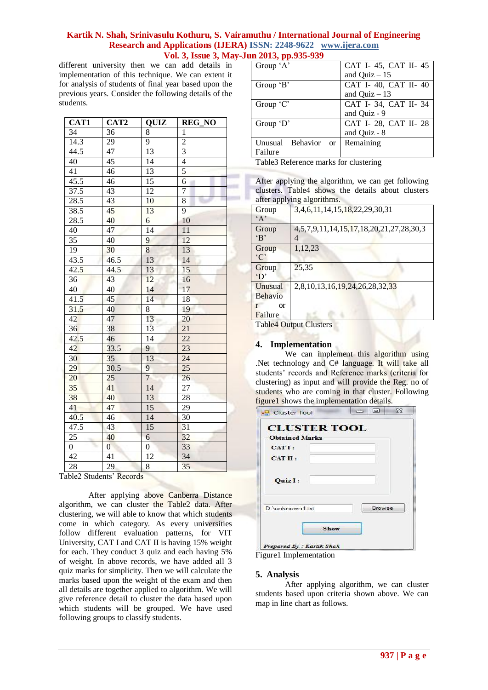different university then we can add details in implementation of this technique. We can extent it for analysis of students of final year based upon the previous years. Consider the following details of the students.

| CAT1           | CAT <sub>2</sub> | <b>QUIZ</b>     | <b>REG_NO</b>   |
|----------------|------------------|-----------------|-----------------|
| 34             | 36               | 8               | 1               |
| 14.3           | 29               | 9               | $\overline{c}$  |
| 44.5           | 47               | 13              | $\overline{3}$  |
| 40             | 45               | 14              | $\overline{4}$  |
| 41             | 46               | $\overline{13}$ | 5               |
| 45.5           | 46               | 15              | $\overline{6}$  |
| 37.5           | 43               | 12              | $\overline{7}$  |
| 28.5           | 43               | 10              | 8               |
| 38.5           | 45               | 13              | 9               |
| 28.5           | 40               | 6               | 10              |
| 40             | 47               | 14              | 11              |
| 35             | 40               | 9               | 12              |
| 19             | 30               | $\overline{8}$  | 13              |
| 43.5           | 46.5             | 13              | 14              |
| 42.5           | 44.5             | 13              | 15              |
| 36             | 43               | 12              | 16              |
| 40             | 40               | 14              | 17              |
| 41.5           | 45               | 14              | 18              |
| 31.5           | 40               | 8               | 19              |
| 42             | 47               | 13              | 20              |
| 36             | 38               | 13              | $\overline{21}$ |
| 42.5           | 46               | $\overline{14}$ | $\overline{22}$ |
| 42             | 33.5             | 9               | 23              |
| 30             | 35               | 13              | $\overline{24}$ |
| 29             | 30.5             | 9               | $\overline{25}$ |
| 20             | 25               | $\overline{7}$  | 26              |
| 35             | 41               | 14              | 27              |
| 38             | 40               | 13              | 28              |
| 41             | 47               | 15              | 29              |
| 40.5           | 46               | 14              | 30              |
| 47.5           | 43               | $\overline{15}$ | 31              |
| 25             | 40               | 6               | 32              |
| $\overline{0}$ | $\overline{0}$   | $\overline{0}$  | 33              |
| 42             | 41               | 12              | 34              |
| 28             | 29               | 8               | $\overline{35}$ |

Table2 Students" Records

After applying above Canberra Distance algorithm, we can cluster the Table2 data. After clustering, we will able to know that which students come in which category. As every universities follow different evaluation patterns, for VIT University, CAT I and CAT II is having 15% weight for each. They conduct 3 quiz and each having 5% of weight. In above records, we have added all 3 quiz marks for simplicity. Then we will calculate the marks based upon the weight of the exam and then all details are together applied to algorithm. We will give reference detail to cluster the data based upon which students will be grouped. We have used following groups to classify students.

| .                                 |                       |
|-----------------------------------|-----------------------|
| Group $A$                         | CAT I-45, CAT II-45   |
|                                   | and Quiz $-15$        |
| Group $B$                         | CAT I-40, CAT II-40   |
|                                   | and Quiz $-13$        |
| Group $C'$                        | CAT I-34, CAT II-34   |
|                                   | and Quiz - 9          |
| Group $D'$                        | CAT I- 28, CAT II- 28 |
|                                   | and Quiz - 8          |
| Unusual Behavior<br><sub>or</sub> | Remaining             |
| Failure                           |                       |

Table3 Reference marks for clustering

After applying the algorithm, we can get following clusters. Table4 shows the details about clusters after applying algorithms.

| Group                        | 3, 4, 6, 11, 14, 15, 18, 22, 29, 30, 31               |
|------------------------------|-------------------------------------------------------|
| A                            |                                                       |
| Group                        | 4, 5, 7, 9, 11, 14, 15, 17, 18, 20, 21, 27, 28, 30, 3 |
| $\mathbf{B}$                 | 4                                                     |
| Group                        | 1,12,23                                               |
| °C                           |                                                       |
| Group                        | 25,35                                                 |
| $^{\circ}D^{\circ}$          |                                                       |
| Unusual                      | 2,8,10,13,16,19,24,26,28,32,33                        |
| Behavio                      |                                                       |
| <b>or</b>                    |                                                       |
| Failure                      |                                                       |
| $T-1.1$ . $A$ $\Omega$ . $A$ |                                                       |

Table4 Output Clusters

#### **4. Implementation**

We can implement this algorithm using .Net technology and C# language. It will take all students' records and Reference marks (criteria for clustering) as input and will provide the Reg. no of students who are coming in that cluster. Following figure1 shows the implementation details.

| CATI:          |        |
|----------------|--------|
| CAT II:        |        |
| <b>Quiz I:</b> |        |
| D:\unknown1.bt | Browse |

#### **5. Analysis**

After applying algorithm, we can cluster students based upon criteria shown above. We can map in line chart as follows.

Figure1 Implementation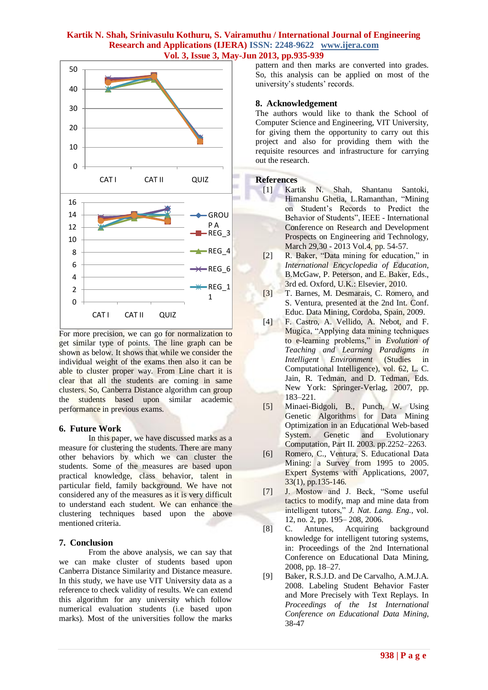

For more precision, we can go for normalization to get similar type of points. The line graph can be shown as below. It shows that while we consider the individual weight of the exams then also it can be able to cluster proper way. From Line chart it is clear that all the students are coming in same clusters. So, Canberra Distance algorithm can group the students based upon similar academic performance in previous exams.

# **6. Future Work**

In this paper, we have discussed marks as a measure for clustering the students. There are many other behaviors by which we can cluster the students. Some of the measures are based upon practical knowledge, class behavior, talent in particular field, family background. We have not considered any of the measures as it is very difficult to understand each student. We can enhance the clustering techniques based upon the above mentioned criteria.

#### **7. Conclusion**

From the above analysis, we can say that we can make cluster of students based upon Canberra Distance Similarity and Distance measure. In this study, we have use VIT University data as a reference to check validity of results. We can extend this algorithm for any university which follow numerical evaluation students (i.e based upon marks). Most of the universities follow the marks

pattern and then marks are converted into grades. So, this analysis can be applied on most of the university's students' records.

# **8. Acknowledgement**

The authors would like to thank the School of Computer Science and Engineering, VIT University, for giving them the opportunity to carry out this project and also for providing them with the requisite resources and infrastructure for carrying out the research.

# **References**

- [1] Kartik N. Shah, Shantanu Santoki, Himanshu Ghetia, L.Ramanthan, "Mining on Student"s Records to Predict the Behavior of Students", IEEE - International Conference on Research and Development Prospects on Engineering and Technology, March 29,30 - 2013 Vol.4, pp. 54-57.
- [2] R. Baker, "Data mining for education," in *International Encyclopedia of Education*, B.McGaw, P. Peterson, and E. Baker, Eds., 3rd ed. Oxford, U.K.: Elsevier, 2010.
- [3] T. Barnes, M. Desmarais, C. Romero, and S. Ventura, presented at the 2nd Int. Conf. Educ. Data Mining, Cordoba, Spain, 2009.
- [4] F. Castro, A. Vellido, A. Nebot, and F. Mugica, "Applying data mining techniques to e-learning problems," in *Evolution of Teaching and Learning Paradigms in Intelligent Environment* (Studies in Computational Intelligence), vol. 62, L. C. Jain, R. Tedman, and D. Tedman, Eds. New York: Springer-Verlag, 2007, pp. 183–221.
- [5] Minaei-Bidgoli, B., Punch, W. Using Genetic Algorithms for Data Mining Optimization in an Educational Web-based System. Genetic and Evolutionary Computation, Part II. 2003. pp.2252–2263.
- [6] Romero, C., Ventura, S. Educational Data Mining: a Survey from 1995 to 2005. Expert Systems with Applications, 2007, 33(1), pp.135-146.
- [7] J. Mostow and J. Beck, "Some useful tactics to modify, map and mine data from intelligent tutors," *J. Nat. Lang. Eng.*, vol. 12, no. 2, pp. 195– 208, 2006.
- [8] C. Antunes, Acquiring background knowledge for intelligent tutoring systems, in: Proceedings of the 2nd International Conference on Educational Data Mining, 2008, pp. 18–27.
- [9] Baker, R.S.J.D. and De Carvalho, A.M.J.A. 2008. Labeling Student Behavior Faster and More Precisely with Text Replays. In *Proceedings of the 1st International Conference on Educational Data Mining*, 38-47